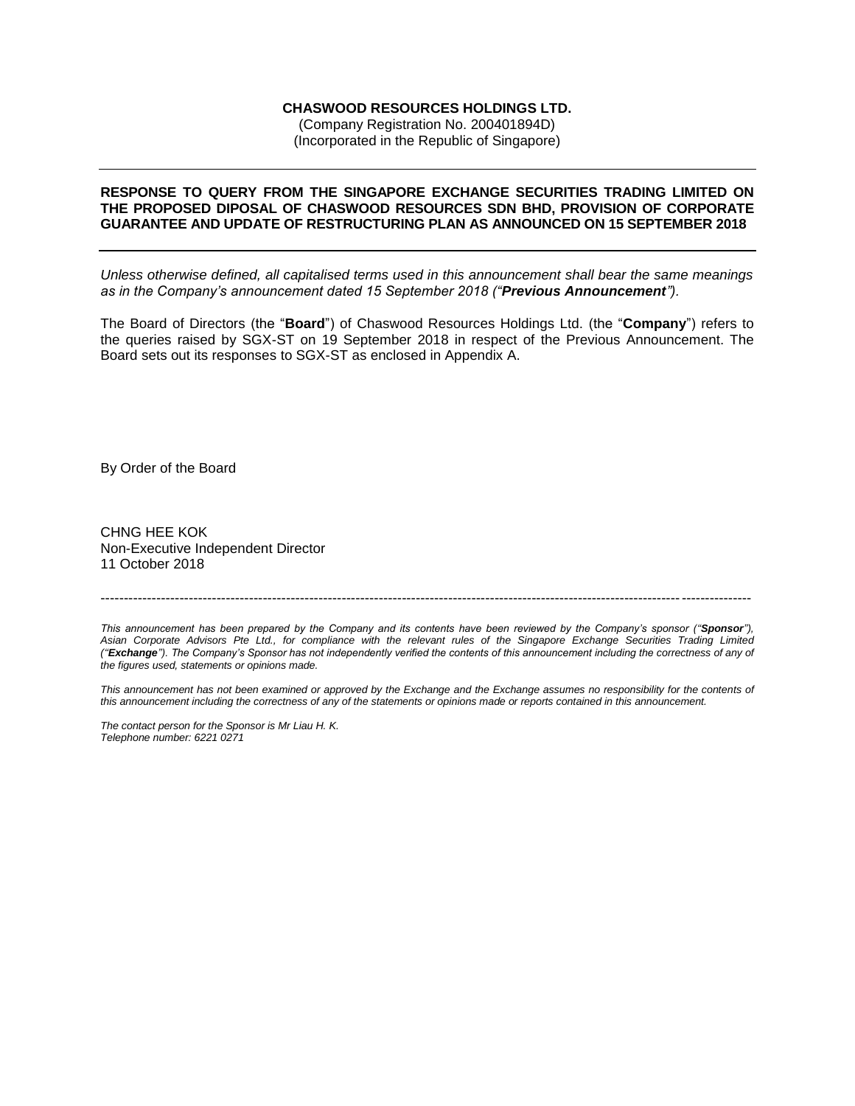## **CHASWOOD RESOURCES HOLDINGS LTD.**

(Company Registration No. 200401894D) (Incorporated in the Republic of Singapore)

### **RESPONSE TO QUERY FROM THE SINGAPORE EXCHANGE SECURITIES TRADING LIMITED ON THE PROPOSED DIPOSAL OF CHASWOOD RESOURCES SDN BHD, PROVISION OF CORPORATE GUARANTEE AND UPDATE OF RESTRUCTURING PLAN AS ANNOUNCED ON 15 SEPTEMBER 2018**

*Unless otherwise defined, all capitalised terms used in this announcement shall bear the same meanings as in the Company's announcement dated 15 September 2018 ("Previous Announcement").*

The Board of Directors (the "**Board**") of Chaswood Resources Holdings Ltd. (the "**Company**") refers to the queries raised by SGX-ST on 19 September 2018 in respect of the Previous Announcement. The Board sets out its responses to SGX-ST as enclosed in Appendix A.

By Order of the Board

CHNG HEE KOK Non-Executive Independent Director 11 October 2018

*This announcement has been prepared by the Company and its contents have been reviewed by the Company's sponsor (''Sponsor''), Asian Corporate Advisors Pte Ltd., for compliance with the relevant rules of the Singapore Exchange Securities Trading Limited (''Exchange''). The Company's Sponsor has not independently verified the contents of this announcement including the correctness of any of the figures used, statements or opinions made.*

--------------------------------------------------------------------------------------------------------------------------------------------

*This announcement has not been examined or approved by the Exchange and the Exchange assumes no responsibility for the contents of this announcement including the correctness of any of the statements or opinions made or reports contained in this announcement.*

*The contact person for the Sponsor is Mr Liau H. K. Telephone number: 6221 0271*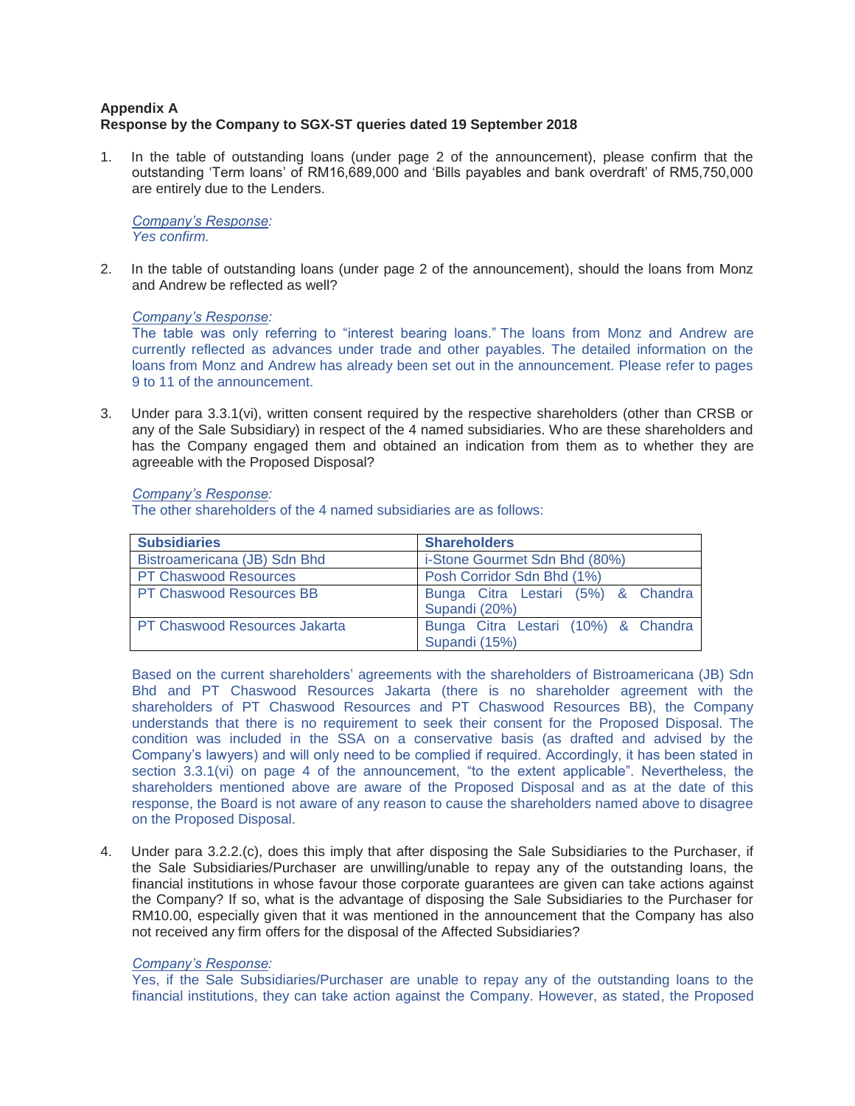# **Appendix A Response by the Company to SGX-ST queries dated 19 September 2018**

1. In the table of outstanding loans (under page 2 of the announcement), please confirm that the outstanding 'Term loans' of RM16,689,000 and 'Bills payables and bank overdraft' of RM5,750,000 are entirely due to the Lenders.

*Company's Response: Yes confirm.* 

2. In the table of outstanding loans (under page 2 of the announcement), should the loans from Monz and Andrew be reflected as well?

## *Company's Response:*

The table was only referring to "interest bearing loans." The loans from Monz and Andrew are currently reflected as advances under trade and other payables. The detailed information on the loans from Monz and Andrew has already been set out in the announcement. Please refer to pages 9 to 11 of the announcement.

3. Under para 3.3.1(vi), written consent required by the respective shareholders (other than CRSB or any of the Sale Subsidiary) in respect of the 4 named subsidiaries. Who are these shareholders and has the Company engaged them and obtained an indication from them as to whether they are agreeable with the Proposed Disposal?

## *Company's Response:*

The other shareholders of the 4 named subsidiaries are as follows:

| <b>Subsidiaries</b>                  | <b>Shareholders</b>                                  |
|--------------------------------------|------------------------------------------------------|
| Bistroamericana (JB) Sdn Bhd         | i-Stone Gourmet Sdn Bhd (80%)                        |
| <b>PT Chaswood Resources</b>         | Posh Corridor Sdn Bhd (1%)                           |
| <b>PT Chaswood Resources BB</b>      | Bunga Citra Lestari (5%) & Chandra<br>Supandi (20%)  |
| <b>PT Chaswood Resources Jakarta</b> | Bunga Citra Lestari (10%) & Chandra<br>Supandi (15%) |

Based on the current shareholders' agreements with the shareholders of Bistroamericana (JB) Sdn Bhd and PT Chaswood Resources Jakarta (there is no shareholder agreement with the shareholders of PT Chaswood Resources and PT Chaswood Resources BB), the Company understands that there is no requirement to seek their consent for the Proposed Disposal. The condition was included in the SSA on a conservative basis (as drafted and advised by the Company's lawyers) and will only need to be complied if required. Accordingly, it has been stated in section 3.3.1(vi) on page 4 of the announcement, "to the extent applicable". Nevertheless, the shareholders mentioned above are aware of the Proposed Disposal and as at the date of this response, the Board is not aware of any reason to cause the shareholders named above to disagree on the Proposed Disposal.

4. Under para 3.2.2.(c), does this imply that after disposing the Sale Subsidiaries to the Purchaser, if the Sale Subsidiaries/Purchaser are unwilling/unable to repay any of the outstanding loans, the financial institutions in whose favour those corporate guarantees are given can take actions against the Company? If so, what is the advantage of disposing the Sale Subsidiaries to the Purchaser for RM10.00, especially given that it was mentioned in the announcement that the Company has also not received any firm offers for the disposal of the Affected Subsidiaries?

## *Company's Response:*

Yes, if the Sale Subsidiaries/Purchaser are unable to repay any of the outstanding loans to the financial institutions, they can take action against the Company. However, as stated, the Proposed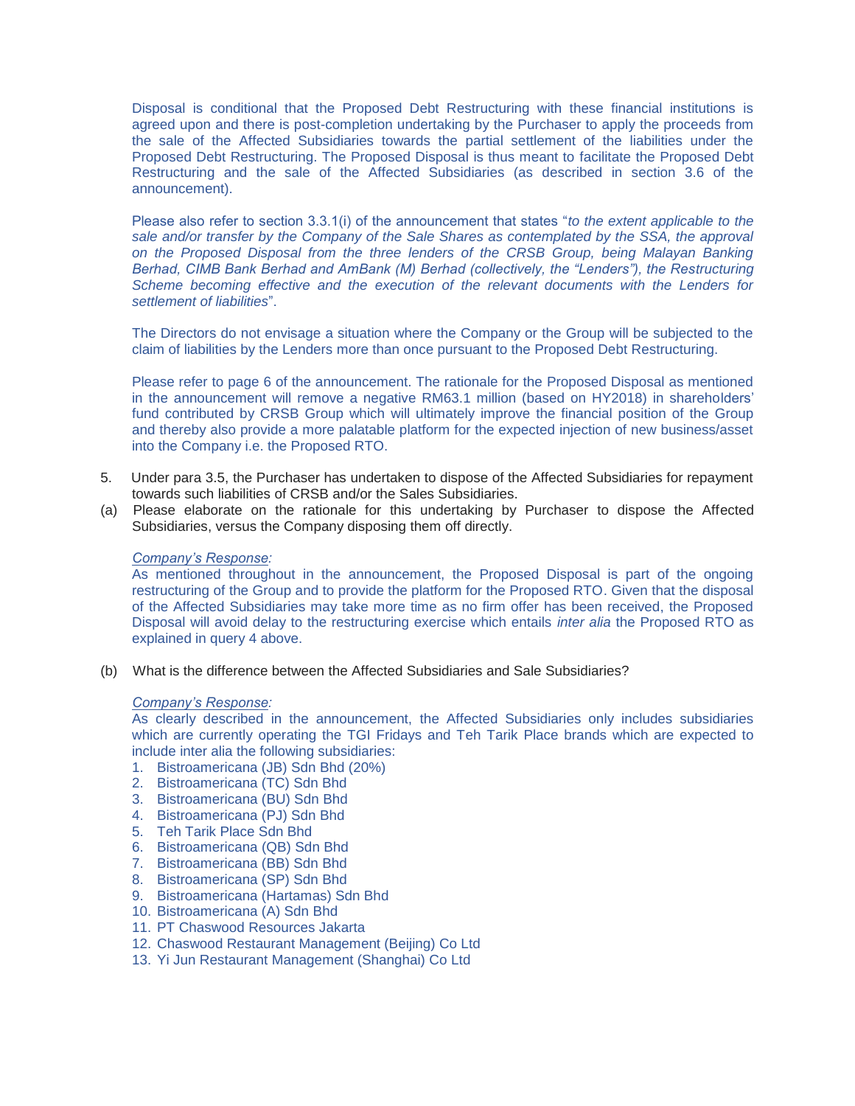Disposal is conditional that the Proposed Debt Restructuring with these financial institutions is agreed upon and there is post-completion undertaking by the Purchaser to apply the proceeds from the sale of the Affected Subsidiaries towards the partial settlement of the liabilities under the Proposed Debt Restructuring. The Proposed Disposal is thus meant to facilitate the Proposed Debt Restructuring and the sale of the Affected Subsidiaries (as described in section 3.6 of the announcement).

Please also refer to section 3.3.1(i) of the announcement that states "*to the extent applicable to the*  sale and/or transfer by the Company of the Sale Shares as contemplated by the SSA, the approval *on the Proposed Disposal from the three lenders of the CRSB Group, being Malayan Banking Berhad, CIMB Bank Berhad and AmBank (M) Berhad (collectively, the "Lenders"), the Restructuring Scheme becoming effective and the execution of the relevant documents with the Lenders for settlement of liabilities*".

The Directors do not envisage a situation where the Company or the Group will be subjected to the claim of liabilities by the Lenders more than once pursuant to the Proposed Debt Restructuring.

Please refer to page 6 of the announcement. The rationale for the Proposed Disposal as mentioned in the announcement will remove a negative RM63.1 million (based on HY2018) in shareholders' fund contributed by CRSB Group which will ultimately improve the financial position of the Group and thereby also provide a more palatable platform for the expected injection of new business/asset into the Company i.e. the Proposed RTO.

- 5. Under para 3.5, the Purchaser has undertaken to dispose of the Affected Subsidiaries for repayment towards such liabilities of CRSB and/or the Sales Subsidiaries.
- (a) Please elaborate on the rationale for this undertaking by Purchaser to dispose the Affected Subsidiaries, versus the Company disposing them off directly.

#### *Company's Response:*

As mentioned throughout in the announcement, the Proposed Disposal is part of the ongoing restructuring of the Group and to provide the platform for the Proposed RTO. Given that the disposal of the Affected Subsidiaries may take more time as no firm offer has been received, the Proposed Disposal will avoid delay to the restructuring exercise which entails *inter alia* the Proposed RTO as explained in query 4 above.

(b) What is the difference between the Affected Subsidiaries and Sale Subsidiaries?

#### *Company's Response:*

As clearly described in the announcement, the Affected Subsidiaries only includes subsidiaries which are currently operating the TGI Fridays and Teh Tarik Place brands which are expected to include inter alia the following subsidiaries:

- 1. Bistroamericana (JB) Sdn Bhd (20%)
- 2. Bistroamericana (TC) Sdn Bhd
- 3. Bistroamericana (BU) Sdn Bhd
- 4. Bistroamericana (PJ) Sdn Bhd
- 5. Teh Tarik Place Sdn Bhd
- 6. Bistroamericana (QB) Sdn Bhd
- 7. Bistroamericana (BB) Sdn Bhd
- 8. Bistroamericana (SP) Sdn Bhd
- 9. Bistroamericana (Hartamas) Sdn Bhd
- 10. Bistroamericana (A) Sdn Bhd
- 11. PT Chaswood Resources Jakarta
- 12. Chaswood Restaurant Management (Beijing) Co Ltd
- 13. Yi Jun Restaurant Management (Shanghai) Co Ltd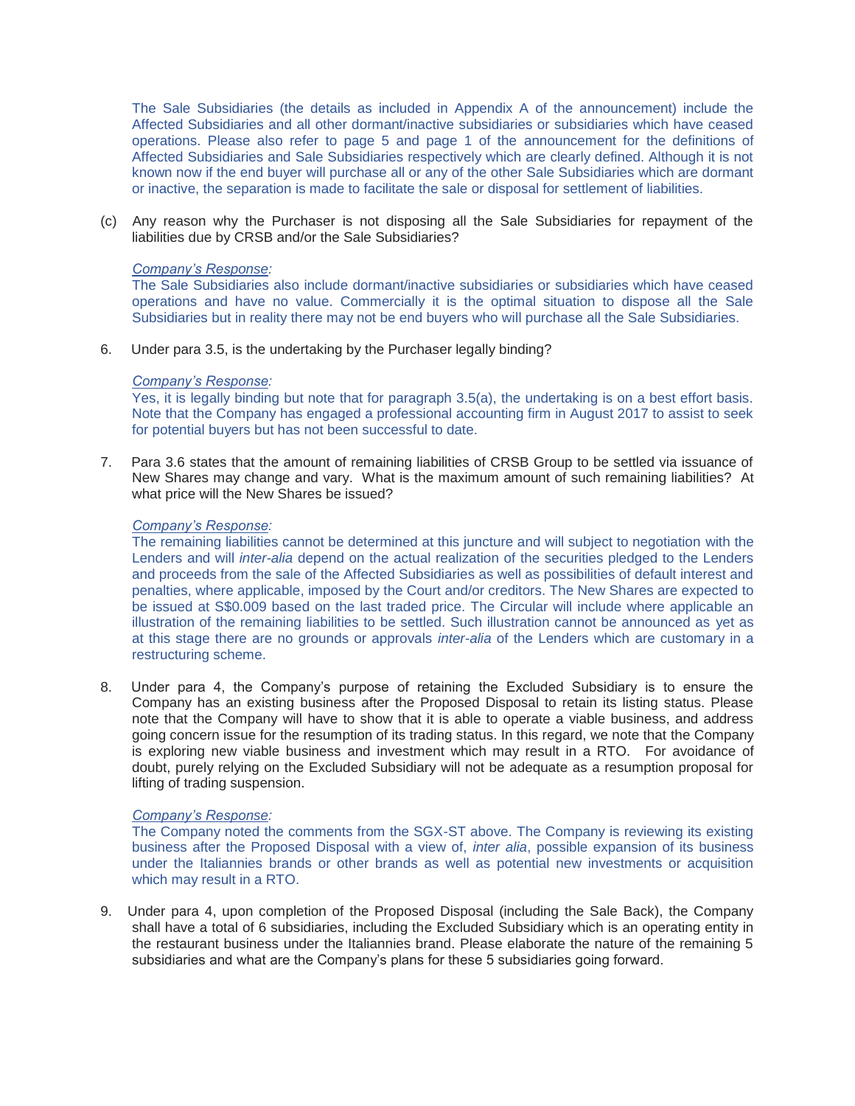The Sale Subsidiaries (the details as included in Appendix A of the announcement) include the Affected Subsidiaries and all other dormant/inactive subsidiaries or subsidiaries which have ceased operations. Please also refer to page 5 and page 1 of the announcement for the definitions of Affected Subsidiaries and Sale Subsidiaries respectively which are clearly defined. Although it is not known now if the end buyer will purchase all or any of the other Sale Subsidiaries which are dormant or inactive, the separation is made to facilitate the sale or disposal for settlement of liabilities.

(c) Any reason why the Purchaser is not disposing all the Sale Subsidiaries for repayment of the liabilities due by CRSB and/or the Sale Subsidiaries?

### *Company's Response:*

The Sale Subsidiaries also include dormant/inactive subsidiaries or subsidiaries which have ceased operations and have no value. Commercially it is the optimal situation to dispose all the Sale Subsidiaries but in reality there may not be end buyers who will purchase all the Sale Subsidiaries.

6. Under para 3.5, is the undertaking by the Purchaser legally binding?

#### *Company's Response:*

Yes, it is legally binding but note that for paragraph 3.5(a), the undertaking is on a best effort basis. Note that the Company has engaged a professional accounting firm in August 2017 to assist to seek for potential buyers but has not been successful to date.

7. Para 3.6 states that the amount of remaining liabilities of CRSB Group to be settled via issuance of New Shares may change and vary. What is the maximum amount of such remaining liabilities? At what price will the New Shares be issued?

### *Company's Response:*

The remaining liabilities cannot be determined at this juncture and will subject to negotiation with the Lenders and will *inter-alia* depend on the actual realization of the securities pledged to the Lenders and proceeds from the sale of the Affected Subsidiaries as well as possibilities of default interest and penalties, where applicable, imposed by the Court and/or creditors. The New Shares are expected to be issued at S\$0.009 based on the last traded price. The Circular will include where applicable an illustration of the remaining liabilities to be settled. Such illustration cannot be announced as yet as at this stage there are no grounds or approvals *inter-alia* of the Lenders which are customary in a restructuring scheme.

8. Under para 4, the Company's purpose of retaining the Excluded Subsidiary is to ensure the Company has an existing business after the Proposed Disposal to retain its listing status. Please note that the Company will have to show that it is able to operate a viable business, and address going concern issue for the resumption of its trading status. In this regard, we note that the Company is exploring new viable business and investment which may result in a RTO. For avoidance of doubt, purely relying on the Excluded Subsidiary will not be adequate as a resumption proposal for lifting of trading suspension.

#### *Company's Response:*

The Company noted the comments from the SGX-ST above. The Company is reviewing its existing business after the Proposed Disposal with a view of, *inter alia*, possible expansion of its business under the Italiannies brands or other brands as well as potential new investments or acquisition which may result in a RTO.

9. Under para 4, upon completion of the Proposed Disposal (including the Sale Back), the Company shall have a total of 6 subsidiaries, including the Excluded Subsidiary which is an operating entity in the restaurant business under the Italiannies brand. Please elaborate the nature of the remaining 5 subsidiaries and what are the Company's plans for these 5 subsidiaries going forward.